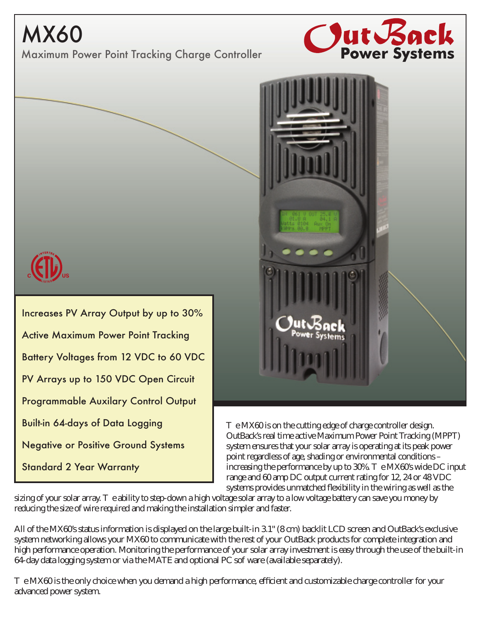## MX60

Maximum Power Point Tracking Charge Controller





Increases PV Array Output by up to 30% Active Maximum Power Point Tracking Battery Voltages from 12 VDC to 60 VDC PV Arrays up to 150 VDC Open Circuit Programmable Auxilary Control Output Built-in 64-days of Data Logging Negative or Positive Ground Systems Standard 2 Year Warranty



T e MX60 is on the cutting edge of charge controller design. OutBack's real time active Maximum Power Point Tracking (MPPT) system ensures that your solar array is operating at its peak power point regardless of age, shading or environmental conditions – increasing the performance by up to  $30\%$ . The MX60's wide DC input range and 60 amp DC output current rating for 12, 24 or 48 VDC systems provides unmatched flexibility in the wiring as well as the

sizing of your solar array. The ability to step-down a high voltage solar array to a low voltage battery can save you money by reducing the size of wire required and making the installation simpler and faster.

All of the MX60's status information is displayed on the large built-in 3.1" (8 cm) backlit LCD screen and OutBack's exclusive system networking allows your MX60 to communicate with the rest of your OutBack products for complete integration and high performance operation. Monitoring the performance of your solar array investment is easy through the use of the built-in  $64$  day data logging system or via the MATE and optional PC sof ware (available separately).

 $T$  eMX60 is the only choice when you demand a high performance,  $e$  cient and customizable charge controller for your advanced power system.